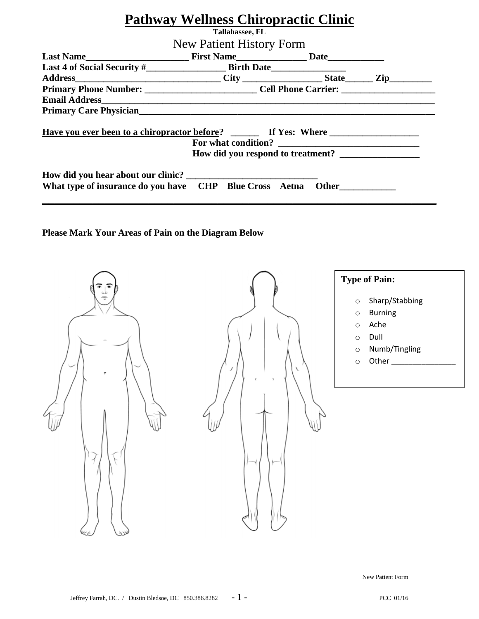| <b>Pathway Wellness Chiropractic Clinic</b>                   |                                                            |  |  |  |  |  |
|---------------------------------------------------------------|------------------------------------------------------------|--|--|--|--|--|
| Tallahassee, FL                                               |                                                            |  |  |  |  |  |
| New Patient History Form                                      |                                                            |  |  |  |  |  |
|                                                               |                                                            |  |  |  |  |  |
|                                                               | Last 4 of Social Security #<br>Address City City State Zip |  |  |  |  |  |
|                                                               |                                                            |  |  |  |  |  |
|                                                               |                                                            |  |  |  |  |  |
|                                                               |                                                            |  |  |  |  |  |
|                                                               |                                                            |  |  |  |  |  |
|                                                               |                                                            |  |  |  |  |  |
| What type of insurance do you have CHP Blue Cross Aetna Other |                                                            |  |  |  |  |  |

### **Please Mark Your Areas of Pain on the Diagram Below**



New Patient Form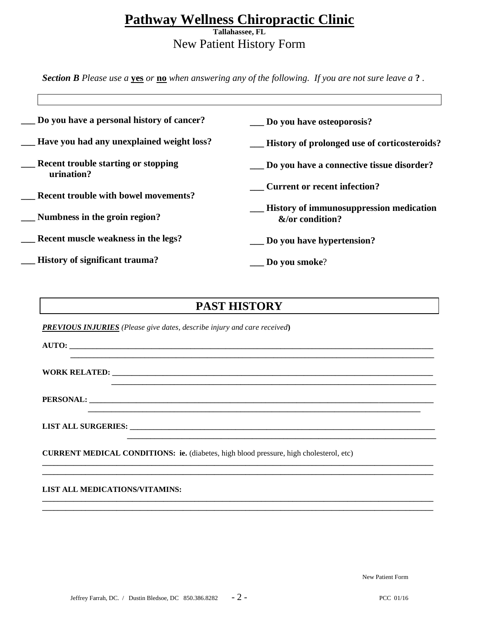## **Pathway Wellness Chiropractic Clinic**

**Tallahassee, FL**  New Patient History Form

*Section B Please use a* **yes** *or* **no** *when answering any of the following. If you are not sure leave a* **?** *.* 

| Do you have a personal history of cancer?                | Do you have osteoporosis?                                                                                                                                                                                                                                   |
|----------------------------------------------------------|-------------------------------------------------------------------------------------------------------------------------------------------------------------------------------------------------------------------------------------------------------------|
| Have you had any unexplained weight loss?                | History of prolonged use of corticosteroids?                                                                                                                                                                                                                |
| <b>Recent trouble starting or stopping</b><br>urination? | Do you have a connective tissue disorder?                                                                                                                                                                                                                   |
| <b>Recent trouble with bowel movements?</b>              | <b>Current or recent infection?</b>                                                                                                                                                                                                                         |
| Numbness in the groin region?                            | <b>EXAMPLE EXAMPLE EXAMPLE EXAMPLE EXAMPLE EXAMPLE EXAMPLE EXAMPLE EXAMPLE EXAMPLE EXAMPLE EXAMPLE EXAMPLE EXAMPLE EXAMPLE EXAMPLE EXAMPLE EXAMPLE EXAMPLE EXAMPLE EXAMPLE EXAMPLE EXAMPLE EXAMPLE EXAMPLE EXAMPLE EXAMPLE EXAMP</b><br>$\&$ /or condition? |
| Recent muscle weakness in the legs?                      | Do you have hypertension?                                                                                                                                                                                                                                   |
| <b>History of significant trauma?</b>                    | Do you smoke?                                                                                                                                                                                                                                               |

### **PAST HISTORY**

**\_\_\_\_\_\_\_\_\_\_\_\_\_\_\_\_\_\_\_\_\_\_\_\_\_\_\_\_\_\_\_\_\_\_\_\_\_\_\_\_\_\_\_\_\_\_\_\_\_\_\_\_\_\_\_\_\_\_\_\_\_\_\_\_\_\_\_\_\_\_\_\_\_\_\_\_\_\_\_\_\_\_\_\_\_\_\_\_\_\_\_\_\_**

 **\_\_\_\_\_\_\_\_\_\_\_\_\_\_\_\_\_\_\_\_\_\_\_\_\_\_\_\_\_\_\_\_\_\_\_\_\_\_\_\_\_\_\_\_\_\_\_\_\_\_\_\_\_\_\_\_\_\_\_\_\_\_\_\_\_\_\_\_\_\_\_\_\_\_\_\_\_\_\_\_\_\_\_\_\_**

**\_\_\_\_\_\_\_\_\_\_\_\_\_\_\_\_\_\_\_\_\_\_\_\_\_\_\_\_\_\_\_\_\_\_\_\_\_\_\_\_\_\_\_\_\_\_\_\_\_\_\_\_\_\_\_\_\_\_\_\_\_\_\_\_\_\_\_\_\_\_\_\_\_\_\_\_\_\_\_\_\_\_\_\_\_\_\_\_\_\_\_\_\_\_\_\_\_\_\_\_ \_\_\_\_\_\_\_\_\_\_\_\_\_\_\_\_\_\_\_\_\_\_\_\_\_\_\_\_\_\_\_\_\_\_\_\_\_\_\_\_\_\_\_\_\_\_\_\_\_\_\_\_\_\_\_\_\_\_\_\_\_\_\_\_\_\_\_\_\_\_\_\_\_\_\_\_\_\_\_\_\_\_\_\_\_\_\_\_\_\_\_\_\_\_\_\_\_\_\_\_**

**\_\_\_\_\_\_\_\_\_\_\_\_\_\_\_\_\_\_\_\_\_\_\_\_\_\_\_\_\_\_\_\_\_\_\_\_\_\_\_\_\_\_\_\_\_\_\_\_\_\_\_\_\_\_\_\_\_\_\_\_\_\_\_\_\_\_\_\_\_\_\_\_\_\_\_\_\_\_\_\_\_\_\_\_\_\_\_\_\_\_\_\_\_\_\_\_\_\_\_\_ \_\_\_\_\_\_\_\_\_\_\_\_\_\_\_\_\_\_\_\_\_\_\_\_\_\_\_\_\_\_\_\_\_\_\_\_\_\_\_\_\_\_\_\_\_\_\_\_\_\_\_\_\_\_\_\_\_\_\_\_\_\_\_\_\_\_\_\_\_\_\_\_\_\_\_\_\_\_\_\_\_\_\_\_\_\_\_\_\_\_\_\_\_\_\_\_\_\_\_\_**

 **\_\_\_\_\_\_\_\_\_\_\_\_\_\_\_\_\_\_\_\_\_\_\_\_\_\_\_\_\_\_\_\_\_\_\_\_\_\_\_\_\_\_\_\_\_\_\_\_\_\_\_\_\_\_\_\_\_\_\_\_\_\_\_\_\_\_\_\_\_\_\_\_\_\_\_\_\_\_\_**

*PREVIOUS INJURIES (Please give dates, describe injury and care received***)**

**AUTO: \_\_\_\_\_\_\_\_\_\_\_\_\_\_\_\_\_\_\_\_\_\_\_\_\_\_\_\_\_\_\_\_\_\_\_\_\_\_\_\_\_\_\_\_\_\_\_\_\_\_\_\_\_\_\_\_\_\_\_\_\_\_\_\_\_\_\_\_\_\_\_\_\_\_\_\_\_\_\_\_\_\_\_\_\_\_\_\_\_\_\_\_\_**

**WORK RELATED: \_\_\_\_\_\_\_\_\_\_\_\_\_\_\_\_\_\_\_\_\_\_\_\_\_\_\_\_\_\_\_\_\_\_\_\_\_\_\_\_\_\_\_\_\_\_\_\_\_\_\_\_\_\_\_\_\_\_\_\_\_\_\_\_\_\_\_\_\_\_\_\_\_\_\_\_\_\_\_\_\_\_**

**PERSONAL: \_\_\_\_\_\_\_\_\_\_\_\_\_\_\_\_\_\_\_\_\_\_\_\_\_\_\_\_\_\_\_\_\_\_\_\_\_\_\_\_\_\_\_\_\_\_\_\_\_\_\_\_\_\_\_\_\_\_\_\_\_\_\_\_\_\_\_\_\_\_\_\_\_\_\_\_\_\_\_\_\_\_\_\_\_\_\_\_**

**LIST ALL SURGERIES: \_\_\_\_\_\_\_\_\_\_\_\_\_\_\_\_\_\_\_\_\_\_\_\_\_\_\_\_\_\_\_\_\_\_\_\_\_\_\_\_\_\_\_\_\_\_\_\_\_\_\_\_\_\_\_\_\_\_\_\_\_\_\_\_\_\_\_\_\_\_\_\_\_\_\_\_\_\_**

**CURRENT MEDICAL CONDITIONS: ie.** (diabetes, high blood pressure, high cholesterol, etc)

#### **LIST ALL MEDICATIONS/VITAMINS:**

New Patient Form

 $\overline{\phantom{a}}$